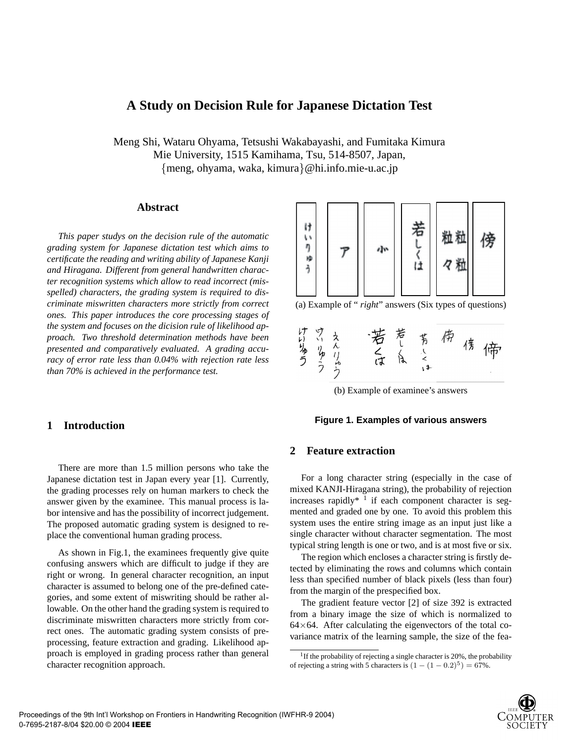# **A Study on Decision Rule for Japanese Dictation Test**

Meng Shi, Wataru Ohyama, Tetsushi Wakabayashi, and Fumitaka Kimura Mie University, 1515 Kamihama, Tsu, 514-8507, Japan, {meng, ohyama, waka, kimura}@hi.info.mie-u.ac.jp

### **Abstract**

*This paper studys on the decision rule of the automatic grading system for Japanese dictation test which aims to certificate the reading and writing ability of Japanese Kanji and Hiragana. Different from general handwritten character recognition systems which allow to read incorrect (misspelled) characters, the grading system is required to discriminate miswritten characters more strictly from correct ones. This paper introduces the core processing stages of the system and focuses on the dicision rule of likelihood approach. Two threshold determination methods have been presented and comparatively evaluated. A grading accuracy of error rate less than 0.04% with rejection rate less than 70% is achieved in the performance test.*

### **1 Introduction**

There are more than 1.5 million persons who take the Japanese dictation test in Japan every year [1]. Currently, the grading processes rely on human markers to check the answer given by the examinee. This manual process is labor intensive and has the possibility of incorrect judgement. The proposed automatic grading system is designed to replace the conventional human grading process.

As shown in Fig.1, the examinees frequently give quite confusing answers which are difficult to judge if they are right or wrong. In general character recognition, an input character is assumed to belong one of the pre-defined categories, and some extent of miswriting should be rather allowable. On the other hand the grading system is required to discriminate miswritten characters more strictly from correct ones. The automatic grading system consists of preprocessing, feature extraction and grading. Likelihood approach is employed in grading process rather than general character recognition approach.



(a) Example of " *right*" answers (Six types of questions)





#### **Figure 1. Examples of various answers**

#### **2 Feature extraction**

For a long character string (especially in the case of mixed KANJI-Hiragana string), the probability of rejection increases rapidly<sup>\*</sup> <sup>1</sup> if each component character is segmented and graded one by one. To avoid this problem this system uses the entire string image as an input just like a single character without character segmentation. The most typical string length is one or two, and is at most five or six.

The region which encloses a character string is firstly detected by eliminating the rows and columns which contain less than specified number of black pixels (less than four) from the margin of the prespecified box.

The gradient feature vector [2] of size 392 is extracted from a binary image the size of which is normalized to  $64\times64$ . After calculating the eigenvectors of the total covariance matrix of the learning sample, the size of the fea-

<sup>&</sup>lt;sup>1</sup>If the probability of rejecting a single character is 20%, the probability of rejecting a string with 5 characters is  $(1 - (1 - 0.2)^5) = 67\%$ .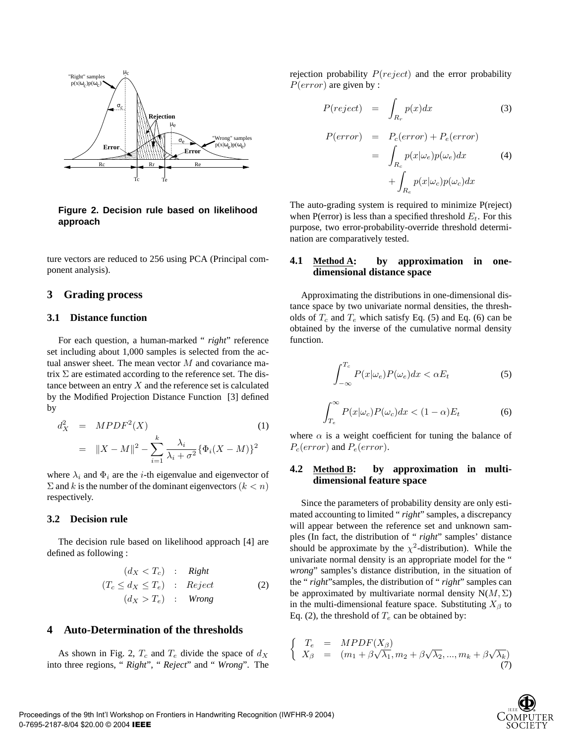

#### **Figure 2. Decision rule based on likelihood approach**

ture vectors are reduced to 256 using PCA (Principal component analysis).

### **3 Grading process**

#### **3.1 Distance function**

For each question, a human-marked " *right*" reference set including about 1,000 samples is selected from the actual answer sheet. The mean vector M and covariance matrix  $\Sigma$  are estimated according to the reference set. The distance between an entry  $X$  and the reference set is calculated by the Modified Projection Distance Function [3] defined by

$$
d_X^2 = MPDF^2(X)
$$
(1)  
=  $||X - M||^2 - \sum_{i=1}^k \frac{\lambda_i}{\lambda_i + \sigma^2} {\{\Phi_i(X - M)\}^2}$ 

where  $\lambda_i$  and  $\Phi_i$  are the *i*-th eigenvalue and eigenvector of  $\Sigma$  and k is the number of the dominant eigenvectors  $(k < n)$ respectively.

### **3.2 Decision rule**

The decision rule based on likelihood approach [4] are defined as following :

$$
(d_X < T_c) : Right
$$
  
\n
$$
(T_c \le d_X \le T_e) : Reject
$$
  
\n
$$
(d_X > T_e) : Wrong
$$
\n(2)

### **4 Auto-Determination of the thresholds**

As shown in Fig. 2,  $T_c$  and  $T_e$  divide the space of  $d_X$ into three regions, " *Right*", " *Reject*" and " *Wrong*". The rejection probability  $P(reject)$  and the error probability  $P(error)$  are given by :

$$
P(reject) = \int_{R_r} p(x)dx
$$
 (3)

$$
P(error) = P_c(error) + P_e(error)
$$
  
= 
$$
\int_{R_c} p(x|\omega_e)p(\omega_e)dx
$$
 (4)  
+ 
$$
\int_{R_e} p(x|\omega_c)p(\omega_c)dx
$$

The auto-grading system is required to minimize P(reject) when P(error) is less than a specified threshold  $E_t$ . For this purpose, two error-probability-override threshold determination are comparatively tested.

#### **4.1 Method A: by approximation in onedimensional distance space**

Approximating the distributions in one-dimensional distance space by two univariate normal densities, the thresholds of  $T_c$  and  $T_e$  which satisfy Eq. (5) and Eq. (6) can be obtained by the inverse of the cumulative normal density function.

$$
\int_{-\infty}^{T_c} P(x|\omega_e) P(\omega_e) dx < \alpha E_t \tag{5}
$$

$$
\int_{T_e}^{\infty} P(x|\omega_c)P(\omega_c)dx < (1-\alpha)E_t
$$
\n(6)

where  $\alpha$  is a weight coefficient for tuning the balance of  $P_c(error)$  and  $P_e(error)$ .

### **4.2 Method B: by approximation in multidimensional feature space**

Since the parameters of probability density are only estimated accounting to limited " *right*" samples, a discrepancy will appear between the reference set and unknown samples (In fact, the distribution of " *right*" samples' distance should be approximate by the  $\chi^2$ -distribution). While the univariate normal density is an appropriate model for the " *wrong*" samples's distance distribution, in the situation of the " *right*"samples, the distribution of " *right*" samples can be approximated by multivariate normal density  $N(M, \Sigma)$ in the multi-dimensional feature space. Substituting  $X_\beta$  to Eq. (2), the threshold of  $T_e$  can be obtained by:

$$
\begin{cases}\nT_e = MPDF(X_\beta) \\
X_\beta = (m_1 + \beta\sqrt{\lambda_1}, m_2 + \beta\sqrt{\lambda_2}, ..., m_k + \beta\sqrt{\lambda_k})\n\end{cases}
$$
\n(7)

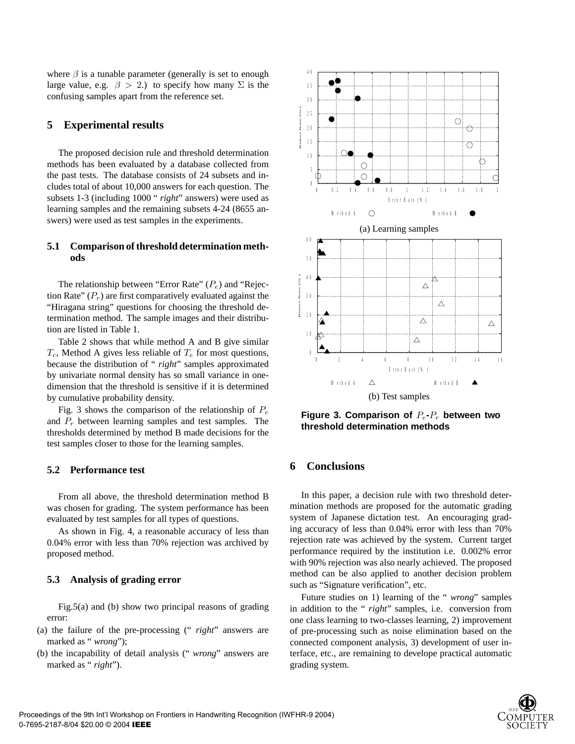where  $\beta$  is a tunable parameter (generally is set to enough large value, e.g.  $\beta > 2$ .) to specify how many  $\Sigma$  is the confusing samples apart from the reference set.

### **5 Experimental results**

The proposed decision rule and threshold determination methods has been evaluated by a database collected from the past tests. The database consists of 24 subsets and includes total of about 10,000 answers for each question. The subsets 1-3 (including 1000 " *right*" answers) were used as learning samples and the remaining subsets 4-24 (8655 answers) were used as test samples in the experiments.

### **5.1 Comparison of threshold determination methods**

The relationship between "Error Rate"  $(P_e)$  and "Rejection Rate"  $(P_r)$  are first comparatively evaluated against the "Hiragana string" questions for choosing the threshold determination method. The sample images and their distribution are listed in Table 1.

Table 2 shows that while method A and B give similar  $T_c$ , Method A gives less reliable of  $T_e$  for most questions, because the distribution of " *right*" samples approximated by univariate normal density has so small variance in onedimension that the threshold is sensitive if it is determined by cumulative probability density.

Fig. 3 shows the comparison of the relationship of  $P_e$ and  $P_r$  between learning samples and test samples. The thresholds determined by method B made decisions for the test samples closer to those for the learning samples.

### **5.2 Performance test**

From all above, the threshold determination method B was chosen for grading. The system performance has been evaluated by test samples for all types of questions.

As shown in Fig. 4, a reasonable accuracy of less than 0.04% error with less than 70% rejection was archived by proposed method.

#### **5.3 Analysis of grading error**

Fig.5(a) and (b) show two principal reasons of grading error:

- (a) the failure of the pre-processing (" *right*" answers are marked as "*wrong*");
- (b) the incapability of detail analysis (" *wrong*" answers are marked as "*right*").



**Figure 3. Comparison of**  $P_e$ - $P_r$  between two **threshold determination methods**

### **6 Conclusions**

In this paper, a decision rule with two threshold determination methods are proposed for the automatic grading system of Japanese dictation test. An encouraging grading accuracy of less than 0.04% error with less than 70% rejection rate was achieved by the system. Current target performance required by the institution i.e. 0.002% error with 90% rejection was also nearly achieved. The proposed method can be also applied to another decision problem such as "Signature verification", etc.

Future studies on 1) learning of the " *wrong*" samples in addition to the " *right*" samples, i.e. conversion from one class learning to two-classes learning, 2) improvement of pre-processing such as noise elimination based on the connected component analysis, 3) development of user interface, etc., are remaining to develope practical automatic grading system.

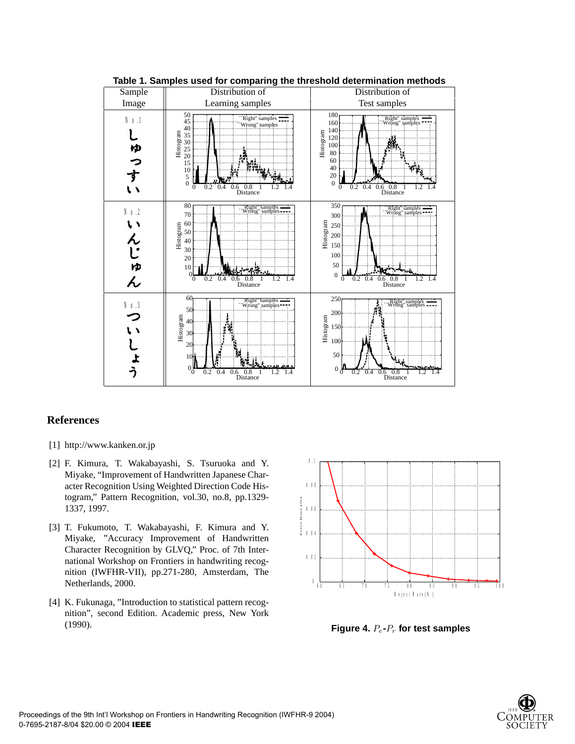

**Table 1. Samples used for comparing the threshold determination methods**

## **References**

- [1] http://www.kanken.or.jp
- [2] F. Kimura, T. Wakabayashi, S. Tsuruoka and Y. Miyake, "Improvement of Handwritten Japanese Character Recognition Using Weighted Direction Code Histogram," Pattern Recognition, vol.30, no.8, pp.1329- 1337, 1997.
- [3] T. Fukumoto, T. Wakabayashi, F. Kimura and Y. Miyake, "Accuracy Improvement of Handwritten Character Recognition by GLVQ," Proc. of 7th International Workshop on Frontiers in handwriting recognition (IWFHR-VII), pp.271-280, Amsterdam, The Netherlands, 2000.
- [4] K. Fukunaga, "Introduction to statistical pattern recognition", second Edition. Academic press, New York (1990).



**Figure 4.**  $P_e$ - $P_r$  for test samples